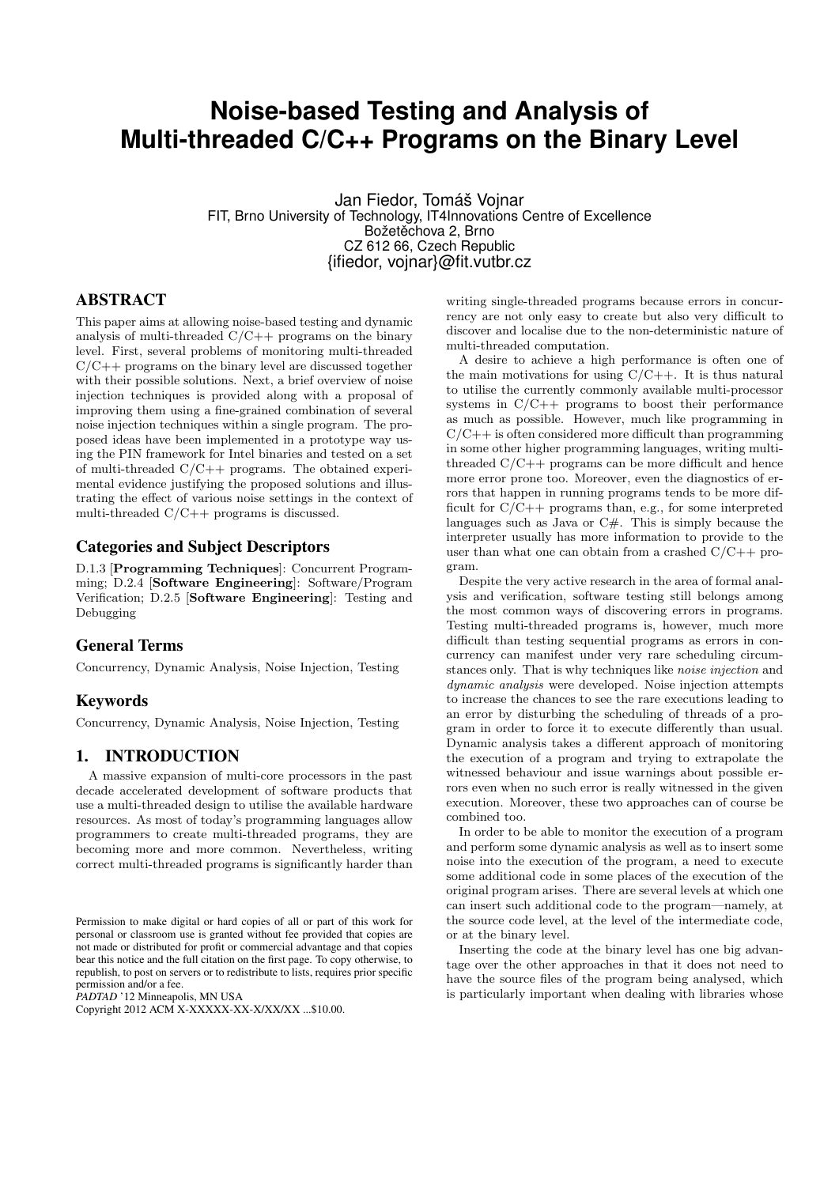# **Noise-based Testing and Analysis of Multi-threaded C/C++ Programs on the Binary Level**

Jan Fiedor, Tomáš Vojnar FIT, Brno University of Technology, IT4Innovations Centre of Excellence Božetěchova 2, Brno CZ 612 66, Czech Republic {ifiedor, vojnar}@fit.vutbr.cz

## ABSTRACT

This paper aims at allowing noise-based testing and dynamic analysis of multi-threaded  $C/C++$  programs on the binary level. First, several problems of monitoring multi-threaded  $C/C++$  programs on the binary level are discussed together with their possible solutions. Next, a brief overview of noise injection techniques is provided along with a proposal of improving them using a fine-grained combination of several noise injection techniques within a single program. The proposed ideas have been implemented in a prototype way using the PIN framework for Intel binaries and tested on a set of multi-threaded  $C/C++$  programs. The obtained experimental evidence justifying the proposed solutions and illustrating the effect of various noise settings in the context of multi-threaded C/C++ programs is discussed.

## Categories and Subject Descriptors

D.1.3 [Programming Techniques]: Concurrent Programming; D.2.4 [Software Engineering]: Software/Program Verification; D.2.5 [Software Engineering]: Testing and Debugging

## General Terms

Concurrency, Dynamic Analysis, Noise Injection, Testing

## Keywords

Concurrency, Dynamic Analysis, Noise Injection, Testing

## 1. INTRODUCTION

A massive expansion of multi-core processors in the past decade accelerated development of software products that use a multi-threaded design to utilise the available hardware resources. As most of today's programming languages allow programmers to create multi-threaded programs, they are becoming more and more common. Nevertheless, writing correct multi-threaded programs is significantly harder than

*PADTAD* '12 Minneapolis, MN USA

writing single-threaded programs because errors in concurrency are not only easy to create but also very difficult to discover and localise due to the non-deterministic nature of multi-threaded computation.

A desire to achieve a high performance is often one of the main motivations for using  $C/C++$ . It is thus natural to utilise the currently commonly available multi-processor systems in C/C++ programs to boost their performance as much as possible. However, much like programming in  $C/C++$  is often considered more difficult than programming in some other higher programming languages, writing multithreaded  $C/C++$  programs can be more difficult and hence more error prone too. Moreover, even the diagnostics of errors that happen in running programs tends to be more difficult for  $C/C++$  programs than, e.g., for some interpreted languages such as Java or  $C#$ . This is simply because the interpreter usually has more information to provide to the user than what one can obtain from a crashed  $C/C++$  program.

Despite the very active research in the area of formal analysis and verification, software testing still belongs among the most common ways of discovering errors in programs. Testing multi-threaded programs is, however, much more difficult than testing sequential programs as errors in concurrency can manifest under very rare scheduling circumstances only. That is why techniques like *noise injection* and dynamic analysis were developed. Noise injection attempts to increase the chances to see the rare executions leading to an error by disturbing the scheduling of threads of a program in order to force it to execute differently than usual. Dynamic analysis takes a different approach of monitoring the execution of a program and trying to extrapolate the witnessed behaviour and issue warnings about possible errors even when no such error is really witnessed in the given execution. Moreover, these two approaches can of course be combined too.

In order to be able to monitor the execution of a program and perform some dynamic analysis as well as to insert some noise into the execution of the program, a need to execute some additional code in some places of the execution of the original program arises. There are several levels at which one can insert such additional code to the program—namely, at the source code level, at the level of the intermediate code, or at the binary level.

Inserting the code at the binary level has one big advantage over the other approaches in that it does not need to have the source files of the program being analysed, which is particularly important when dealing with libraries whose

Permission to make digital or hard copies of all or part of this work for personal or classroom use is granted without fee provided that copies are not made or distributed for profit or commercial advantage and that copies bear this notice and the full citation on the first page. To copy otherwise, to republish, to post on servers or to redistribute to lists, requires prior specific permission and/or a fee.

Copyright 2012 ACM X-XXXXX-XX-X/XX/XX ...\$10.00.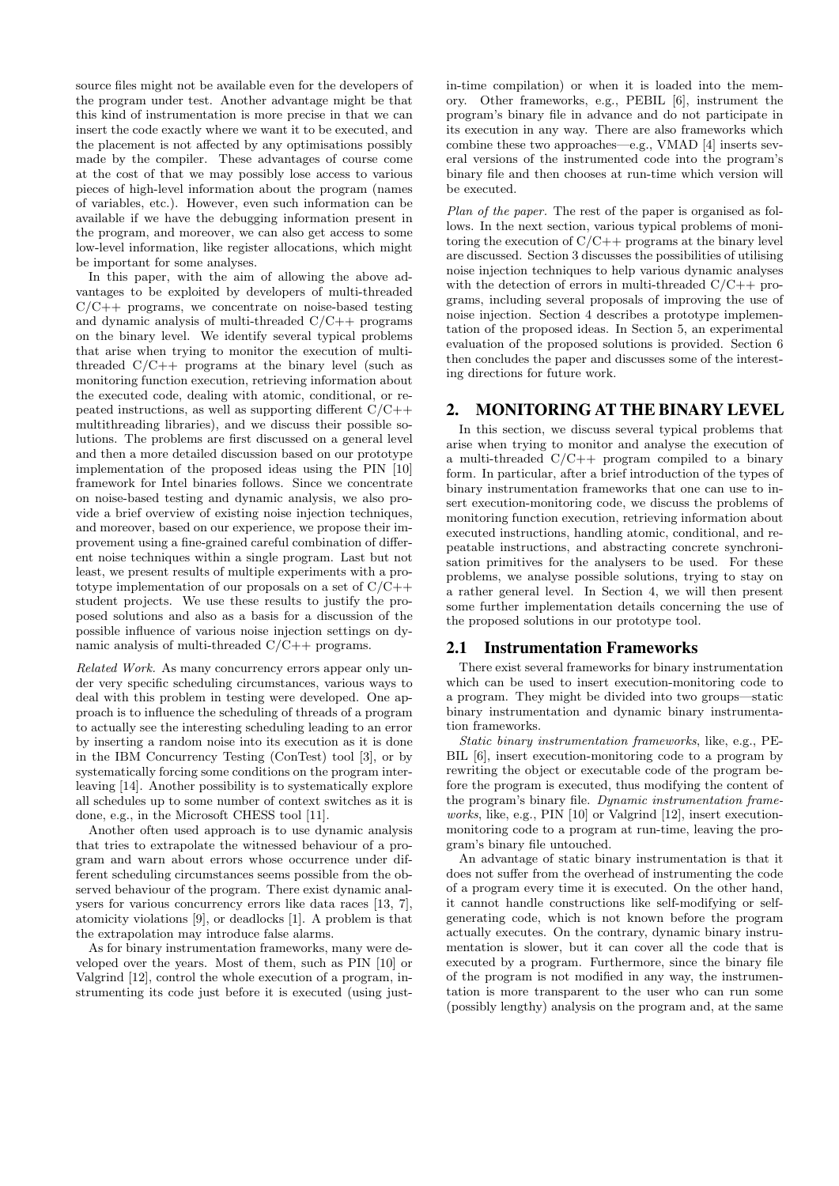source files might not be available even for the developers of the program under test. Another advantage might be that this kind of instrumentation is more precise in that we can insert the code exactly where we want it to be executed, and the placement is not affected by any optimisations possibly made by the compiler. These advantages of course come at the cost of that we may possibly lose access to various pieces of high-level information about the program (names of variables, etc.). However, even such information can be available if we have the debugging information present in the program, and moreover, we can also get access to some low-level information, like register allocations, which might be important for some analyses.

In this paper, with the aim of allowing the above advantages to be exploited by developers of multi-threaded  $C/C++$  programs, we concentrate on noise-based testing and dynamic analysis of multi-threaded  $C/C++$  programs on the binary level. We identify several typical problems that arise when trying to monitor the execution of multithreaded  $C/C++$  programs at the binary level (such as monitoring function execution, retrieving information about the executed code, dealing with atomic, conditional, or repeated instructions, as well as supporting different C/C++ multithreading libraries), and we discuss their possible solutions. The problems are first discussed on a general level and then a more detailed discussion based on our prototype implementation of the proposed ideas using the PIN [10] framework for Intel binaries follows. Since we concentrate on noise-based testing and dynamic analysis, we also provide a brief overview of existing noise injection techniques, and moreover, based on our experience, we propose their improvement using a fine-grained careful combination of different noise techniques within a single program. Last but not least, we present results of multiple experiments with a prototype implementation of our proposals on a set of  $C/C++$ student projects. We use these results to justify the proposed solutions and also as a basis for a discussion of the possible influence of various noise injection settings on dynamic analysis of multi-threaded C/C++ programs.

Related Work. As many concurrency errors appear only under very specific scheduling circumstances, various ways to deal with this problem in testing were developed. One approach is to influence the scheduling of threads of a program to actually see the interesting scheduling leading to an error by inserting a random noise into its execution as it is done in the IBM Concurrency Testing (ConTest) tool [3], or by systematically forcing some conditions on the program interleaving [14]. Another possibility is to systematically explore all schedules up to some number of context switches as it is done, e.g., in the Microsoft CHESS tool [11].

Another often used approach is to use dynamic analysis that tries to extrapolate the witnessed behaviour of a program and warn about errors whose occurrence under different scheduling circumstances seems possible from the observed behaviour of the program. There exist dynamic analysers for various concurrency errors like data races [13, 7], atomicity violations [9], or deadlocks [1]. A problem is that the extrapolation may introduce false alarms.

As for binary instrumentation frameworks, many were developed over the years. Most of them, such as PIN [10] or Valgrind [12], control the whole execution of a program, instrumenting its code just before it is executed (using justin-time compilation) or when it is loaded into the memory. Other frameworks, e.g., PEBIL [6], instrument the program's binary file in advance and do not participate in its execution in any way. There are also frameworks which combine these two approaches—e.g., VMAD [4] inserts several versions of the instrumented code into the program's binary file and then chooses at run-time which version will be executed.

Plan of the paper. The rest of the paper is organised as follows. In the next section, various typical problems of monitoring the execution of  $C/C++$  programs at the binary level are discussed. Section 3 discusses the possibilities of utilising noise injection techniques to help various dynamic analyses with the detection of errors in multi-threaded  $C/C++$  programs, including several proposals of improving the use of noise injection. Section 4 describes a prototype implementation of the proposed ideas. In Section 5, an experimental evaluation of the proposed solutions is provided. Section 6 then concludes the paper and discusses some of the interesting directions for future work.

## 2. MONITORING AT THE BINARY LEVEL

In this section, we discuss several typical problems that arise when trying to monitor and analyse the execution of a multi-threaded C/C++ program compiled to a binary form. In particular, after a brief introduction of the types of binary instrumentation frameworks that one can use to insert execution-monitoring code, we discuss the problems of monitoring function execution, retrieving information about executed instructions, handling atomic, conditional, and repeatable instructions, and abstracting concrete synchronisation primitives for the analysers to be used. For these problems, we analyse possible solutions, trying to stay on a rather general level. In Section 4, we will then present some further implementation details concerning the use of the proposed solutions in our prototype tool.

#### 2.1 Instrumentation Frameworks

There exist several frameworks for binary instrumentation which can be used to insert execution-monitoring code to a program. They might be divided into two groups—static binary instrumentation and dynamic binary instrumentation frameworks.

Static binary instrumentation frameworks, like, e.g., PE-BIL [6], insert execution-monitoring code to a program by rewriting the object or executable code of the program before the program is executed, thus modifying the content of the program's binary file. Dynamic instrumentation frameworks, like, e.g., PIN [10] or Valgrind [12], insert executionmonitoring code to a program at run-time, leaving the program's binary file untouched.

An advantage of static binary instrumentation is that it does not suffer from the overhead of instrumenting the code of a program every time it is executed. On the other hand, it cannot handle constructions like self-modifying or selfgenerating code, which is not known before the program actually executes. On the contrary, dynamic binary instrumentation is slower, but it can cover all the code that is executed by a program. Furthermore, since the binary file of the program is not modified in any way, the instrumentation is more transparent to the user who can run some (possibly lengthy) analysis on the program and, at the same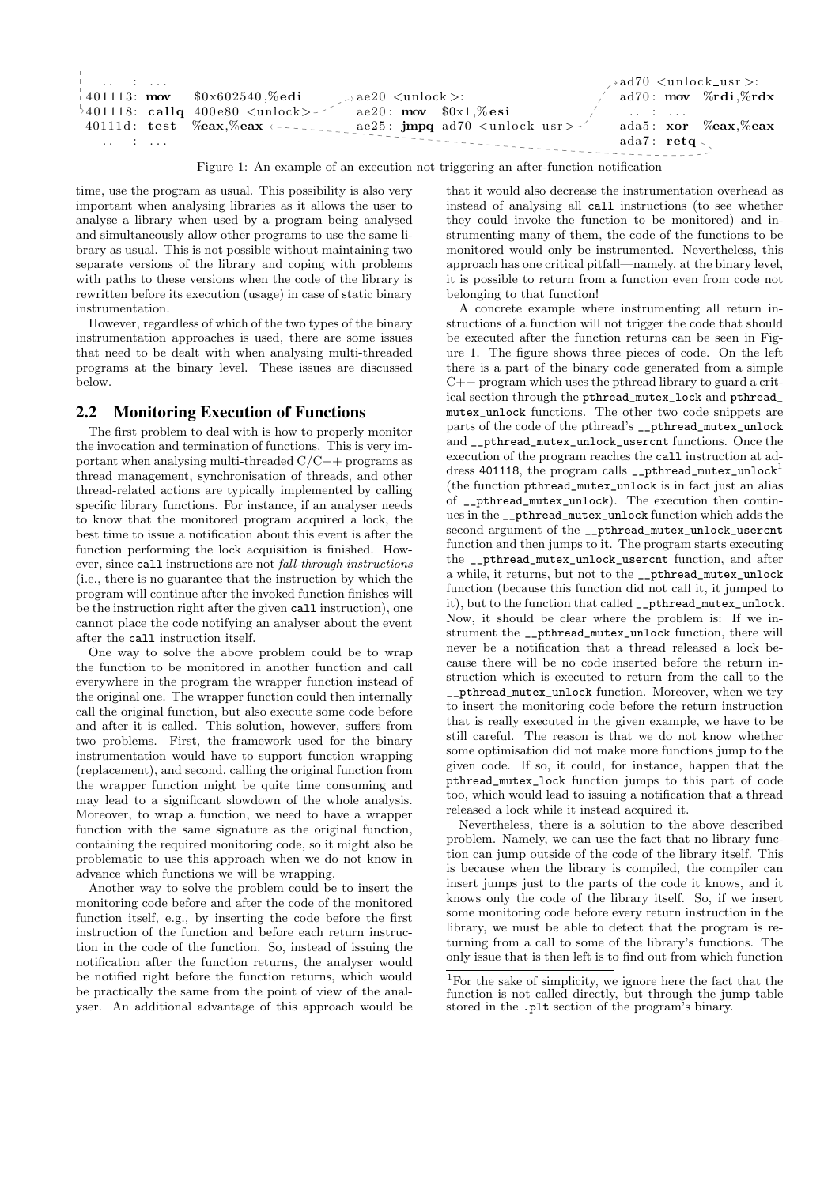| in the contract of the contract of the contract of the contract of the contract of the contract of the contract of the contract of the contract of the contract of the contract of the contract of the contract of the contrac |                                                                                                                |                              | $\rightarrow$ ad $70$ $\rm <$ unlock_usr $\rm >:$ |
|--------------------------------------------------------------------------------------------------------------------------------------------------------------------------------------------------------------------------------|----------------------------------------------------------------------------------------------------------------|------------------------------|---------------------------------------------------|
|                                                                                                                                                                                                                                | $\frac{1}{401113}$ : mov $\frac{60x602540}{\%}$ edi $\frac{1}{20}$ $\le$ ae20 $\le$ unlock $>$ :               |                              | $\text{ad}70:$ mov $\%$ rdi, $\%$ rdx             |
|                                                                                                                                                                                                                                | $\frac{1}{2}401118$ : callq $400e80$ <unlock>-114<br/><math>ae20:</math> mov <math>\$0x1,\%</math>esi</unlock> | $\cdots$ $\cdots$            |                                                   |
|                                                                                                                                                                                                                                | 40111d: test %eax,%eax $\leftarrow$ ---------<br>$ae25:$ jmpq $ad70$ $\langle$ unlock_usr> $\langle$           |                              | $ada5: xor %eax,\omega$                           |
| in a complete the complete state of                                                                                                                                                                                            |                                                                                                                | $\text{ada7}: \text{retq}$ . |                                                   |
|                                                                                                                                                                                                                                |                                                                                                                |                              |                                                   |

Figure 1: An example of an execution not triggering an after-function notification

time, use the program as usual. This possibility is also very important when analysing libraries as it allows the user to analyse a library when used by a program being analysed and simultaneously allow other programs to use the same library as usual. This is not possible without maintaining two separate versions of the library and coping with problems with paths to these versions when the code of the library is rewritten before its execution (usage) in case of static binary instrumentation.

However, regardless of which of the two types of the binary instrumentation approaches is used, there are some issues that need to be dealt with when analysing multi-threaded programs at the binary level. These issues are discussed below.

#### 2.2 Monitoring Execution of Functions

The first problem to deal with is how to properly monitor the invocation and termination of functions. This is very important when analysing multi-threaded C/C++ programs as thread management, synchronisation of threads, and other thread-related actions are typically implemented by calling specific library functions. For instance, if an analyser needs to know that the monitored program acquired a lock, the best time to issue a notification about this event is after the function performing the lock acquisition is finished. However, since call instructions are not fall-through instructions (i.e., there is no guarantee that the instruction by which the program will continue after the invoked function finishes will be the instruction right after the given call instruction), one cannot place the code notifying an analyser about the event after the call instruction itself.

One way to solve the above problem could be to wrap the function to be monitored in another function and call everywhere in the program the wrapper function instead of the original one. The wrapper function could then internally call the original function, but also execute some code before and after it is called. This solution, however, suffers from two problems. First, the framework used for the binary instrumentation would have to support function wrapping (replacement), and second, calling the original function from the wrapper function might be quite time consuming and may lead to a significant slowdown of the whole analysis. Moreover, to wrap a function, we need to have a wrapper function with the same signature as the original function, containing the required monitoring code, so it might also be problematic to use this approach when we do not know in advance which functions we will be wrapping.

Another way to solve the problem could be to insert the monitoring code before and after the code of the monitored function itself, e.g., by inserting the code before the first instruction of the function and before each return instruction in the code of the function. So, instead of issuing the notification after the function returns, the analyser would be notified right before the function returns, which would be practically the same from the point of view of the analyser. An additional advantage of this approach would be

that it would also decrease the instrumentation overhead as instead of analysing all call instructions (to see whether they could invoke the function to be monitored) and instrumenting many of them, the code of the functions to be monitored would only be instrumented. Nevertheless, this approach has one critical pitfall—namely, at the binary level, it is possible to return from a function even from code not belonging to that function!

A concrete example where instrumenting all return instructions of a function will not trigger the code that should be executed after the function returns can be seen in Figure 1. The figure shows three pieces of code. On the left there is a part of the binary code generated from a simple  $C_{++}$  program which uses the pthread library to guard a critical section through the pthread\_mutex\_lock and pthread\_ mutex\_unlock functions. The other two code snippets are parts of the code of the pthread's \_\_pthread\_mutex\_unlock and \_\_pthread\_mutex\_unlock\_usercnt functions. Once the execution of the program reaches the call instruction at address 401118, the program calls \_\_pthread\_mutex\_unlock<sup>1</sup> (the function pthread\_mutex\_unlock is in fact just an alias of \_\_pthread\_mutex\_unlock). The execution then continues in the \_\_pthread\_mutex\_unlock function which adds the second argument of the \_\_pthread\_mutex\_unlock\_usercnt function and then jumps to it. The program starts executing the \_\_pthread\_mutex\_unlock\_usercnt function, and after a while, it returns, but not to the \_\_pthread\_mutex\_unlock function (because this function did not call it, it jumped to it), but to the function that called \_\_pthread\_mutex\_unlock. Now, it should be clear where the problem is: If we instrument the \_\_pthread\_mutex\_unlock function, there will never be a notification that a thread released a lock because there will be no code inserted before the return instruction which is executed to return from the call to the \_\_pthread\_mutex\_unlock function. Moreover, when we try to insert the monitoring code before the return instruction that is really executed in the given example, we have to be still careful. The reason is that we do not know whether some optimisation did not make more functions jump to the given code. If so, it could, for instance, happen that the pthread\_mutex\_lock function jumps to this part of code too, which would lead to issuing a notification that a thread released a lock while it instead acquired it.

Nevertheless, there is a solution to the above described problem. Namely, we can use the fact that no library function can jump outside of the code of the library itself. This is because when the library is compiled, the compiler can insert jumps just to the parts of the code it knows, and it knows only the code of the library itself. So, if we insert some monitoring code before every return instruction in the library, we must be able to detect that the program is returning from a call to some of the library's functions. The only issue that is then left is to find out from which function

<sup>1</sup>For the sake of simplicity, we ignore here the fact that the function is not called directly, but through the jump table stored in the .plt section of the program's binary.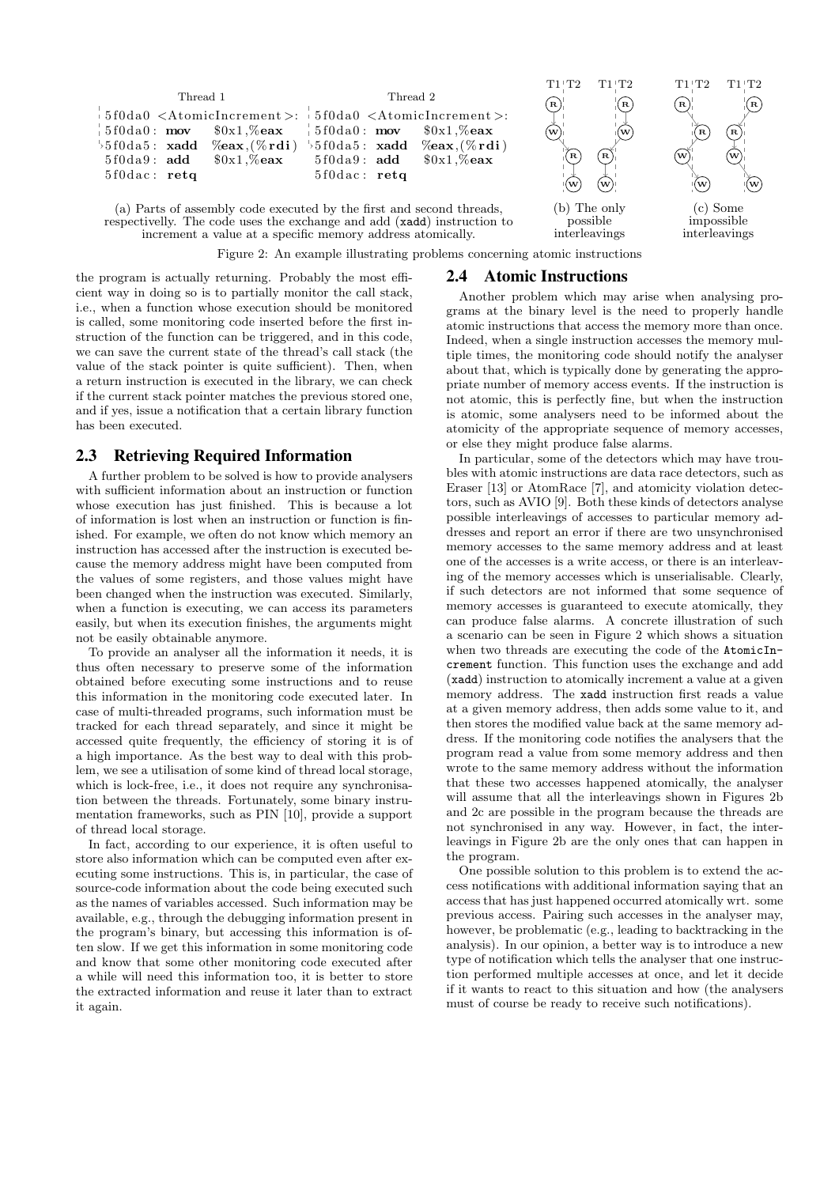

(a) Parts of assembly code executed by the first and second threads, respectivelly. The code uses the exchange and add (xadd) instruction to increment a value at a specific memory address atomically.

Figure 2: An example illustrating problems concerning atomic instructions

the program is actually returning. Probably the most efficient way in doing so is to partially monitor the call stack, i.e., when a function whose execution should be monitored is called, some monitoring code inserted before the first instruction of the function can be triggered, and in this code, we can save the current state of the thread's call stack (the value of the stack pointer is quite sufficient). Then, when a return instruction is executed in the library, we can check if the current stack pointer matches the previous stored one, and if yes, issue a notification that a certain library function has been executed.

## 2.3 Retrieving Required Information

A further problem to be solved is how to provide analysers with sufficient information about an instruction or function whose execution has just finished. This is because a lot of information is lost when an instruction or function is finished. For example, we often do not know which memory an instruction has accessed after the instruction is executed because the memory address might have been computed from the values of some registers, and those values might have been changed when the instruction was executed. Similarly, when a function is executing, we can access its parameters easily, but when its execution finishes, the arguments might not be easily obtainable anymore.

To provide an analyser all the information it needs, it is thus often necessary to preserve some of the information obtained before executing some instructions and to reuse this information in the monitoring code executed later. In case of multi-threaded programs, such information must be tracked for each thread separately, and since it might be accessed quite frequently, the efficiency of storing it is of a high importance. As the best way to deal with this problem, we see a utilisation of some kind of thread local storage, which is lock-free, i.e., it does not require any synchronisation between the threads. Fortunately, some binary instrumentation frameworks, such as PIN [10], provide a support of thread local storage.

In fact, according to our experience, it is often useful to store also information which can be computed even after executing some instructions. This is, in particular, the case of source-code information about the code being executed such as the names of variables accessed. Such information may be available, e.g., through the debugging information present in the program's binary, but accessing this information is often slow. If we get this information in some monitoring code and know that some other monitoring code executed after a while will need this information too, it is better to store the extracted information and reuse it later than to extract it again.

#### 2.4 Atomic Instructions

Another problem which may arise when analysing programs at the binary level is the need to properly handle atomic instructions that access the memory more than once. Indeed, when a single instruction accesses the memory multiple times, the monitoring code should notify the analyser about that, which is typically done by generating the appropriate number of memory access events. If the instruction is not atomic, this is perfectly fine, but when the instruction is atomic, some analysers need to be informed about the atomicity of the appropriate sequence of memory accesses, or else they might produce false alarms.

possible interleavings

impossible interleavings

In particular, some of the detectors which may have troubles with atomic instructions are data race detectors, such as Eraser [13] or AtomRace [7], and atomicity violation detectors, such as AVIO [9]. Both these kinds of detectors analyse possible interleavings of accesses to particular memory addresses and report an error if there are two unsynchronised memory accesses to the same memory address and at least one of the accesses is a write access, or there is an interleaving of the memory accesses which is unserialisable. Clearly, if such detectors are not informed that some sequence of memory accesses is guaranteed to execute atomically, they can produce false alarms. A concrete illustration of such a scenario can be seen in Figure 2 which shows a situation when two threads are executing the code of the AtomicIncrement function. This function uses the exchange and add (xadd) instruction to atomically increment a value at a given memory address. The xadd instruction first reads a value at a given memory address, then adds some value to it, and then stores the modified value back at the same memory address. If the monitoring code notifies the analysers that the program read a value from some memory address and then wrote to the same memory address without the information that these two accesses happened atomically, the analyser will assume that all the interleavings shown in Figures 2b and 2c are possible in the program because the threads are not synchronised in any way. However, in fact, the interleavings in Figure 2b are the only ones that can happen in the program.

One possible solution to this problem is to extend the access notifications with additional information saying that an access that has just happened occurred atomically wrt. some previous access. Pairing such accesses in the analyser may, however, be problematic (e.g., leading to backtracking in the analysis). In our opinion, a better way is to introduce a new type of notification which tells the analyser that one instruction performed multiple accesses at once, and let it decide if it wants to react to this situation and how (the analysers must of course be ready to receive such notifications).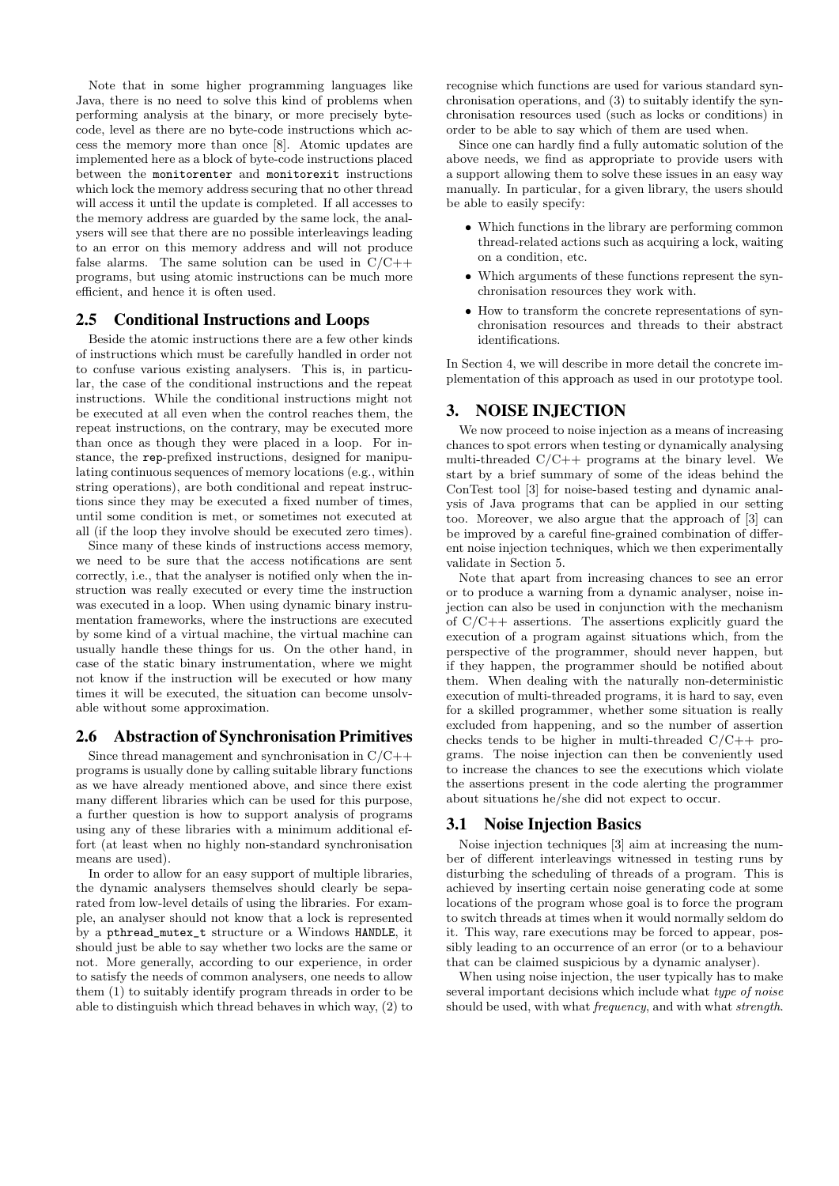Note that in some higher programming languages like Java, there is no need to solve this kind of problems when performing analysis at the binary, or more precisely bytecode, level as there are no byte-code instructions which access the memory more than once [8]. Atomic updates are implemented here as a block of byte-code instructions placed between the monitorenter and monitorexit instructions which lock the memory address securing that no other thread will access it until the update is completed. If all accesses to the memory address are guarded by the same lock, the analysers will see that there are no possible interleavings leading to an error on this memory address and will not produce false alarms. The same solution can be used in C/C++ programs, but using atomic instructions can be much more efficient, and hence it is often used.

## 2.5 Conditional Instructions and Loops

Beside the atomic instructions there are a few other kinds of instructions which must be carefully handled in order not to confuse various existing analysers. This is, in particular, the case of the conditional instructions and the repeat instructions. While the conditional instructions might not be executed at all even when the control reaches them, the repeat instructions, on the contrary, may be executed more than once as though they were placed in a loop. For instance, the rep-prefixed instructions, designed for manipulating continuous sequences of memory locations (e.g., within string operations), are both conditional and repeat instructions since they may be executed a fixed number of times, until some condition is met, or sometimes not executed at all (if the loop they involve should be executed zero times).

Since many of these kinds of instructions access memory, we need to be sure that the access notifications are sent correctly, i.e., that the analyser is notified only when the instruction was really executed or every time the instruction was executed in a loop. When using dynamic binary instrumentation frameworks, where the instructions are executed by some kind of a virtual machine, the virtual machine can usually handle these things for us. On the other hand, in case of the static binary instrumentation, where we might not know if the instruction will be executed or how many times it will be executed, the situation can become unsolvable without some approximation.

## 2.6 Abstraction of Synchronisation Primitives

Since thread management and synchronisation in C/C++ programs is usually done by calling suitable library functions as we have already mentioned above, and since there exist many different libraries which can be used for this purpose, a further question is how to support analysis of programs using any of these libraries with a minimum additional effort (at least when no highly non-standard synchronisation means are used).

In order to allow for an easy support of multiple libraries, the dynamic analysers themselves should clearly be separated from low-level details of using the libraries. For example, an analyser should not know that a lock is represented by a pthread\_mutex\_t structure or a Windows HANDLE, it should just be able to say whether two locks are the same or not. More generally, according to our experience, in order to satisfy the needs of common analysers, one needs to allow them (1) to suitably identify program threads in order to be able to distinguish which thread behaves in which way, (2) to

recognise which functions are used for various standard synchronisation operations, and (3) to suitably identify the synchronisation resources used (such as locks or conditions) in order to be able to say which of them are used when.

Since one can hardly find a fully automatic solution of the above needs, we find as appropriate to provide users with a support allowing them to solve these issues in an easy way manually. In particular, for a given library, the users should be able to easily specify:

- Which functions in the library are performing common thread-related actions such as acquiring a lock, waiting on a condition, etc.
- Which arguments of these functions represent the synchronisation resources they work with.
- How to transform the concrete representations of synchronisation resources and threads to their abstract identifications.

In Section 4, we will describe in more detail the concrete implementation of this approach as used in our prototype tool.

#### 3. NOISE INJECTION

We now proceed to noise injection as a means of increasing chances to spot errors when testing or dynamically analysing multi-threaded C/C++ programs at the binary level. We start by a brief summary of some of the ideas behind the ConTest tool [3] for noise-based testing and dynamic analysis of Java programs that can be applied in our setting too. Moreover, we also argue that the approach of [3] can be improved by a careful fine-grained combination of different noise injection techniques, which we then experimentally validate in Section 5.

Note that apart from increasing chances to see an error or to produce a warning from a dynamic analyser, noise injection can also be used in conjunction with the mechanism of  $C/C++$  assertions. The assertions explicitly guard the execution of a program against situations which, from the perspective of the programmer, should never happen, but if they happen, the programmer should be notified about them. When dealing with the naturally non-deterministic execution of multi-threaded programs, it is hard to say, even for a skilled programmer, whether some situation is really excluded from happening, and so the number of assertion checks tends to be higher in multi-threaded C/C++ programs. The noise injection can then be conveniently used to increase the chances to see the executions which violate the assertions present in the code alerting the programmer about situations he/she did not expect to occur.

#### 3.1 Noise Injection Basics

Noise injection techniques [3] aim at increasing the number of different interleavings witnessed in testing runs by disturbing the scheduling of threads of a program. This is achieved by inserting certain noise generating code at some locations of the program whose goal is to force the program to switch threads at times when it would normally seldom do it. This way, rare executions may be forced to appear, possibly leading to an occurrence of an error (or to a behaviour that can be claimed suspicious by a dynamic analyser).

When using noise injection, the user typically has to make several important decisions which include what type of noise should be used, with what *frequency*, and with what *strength*.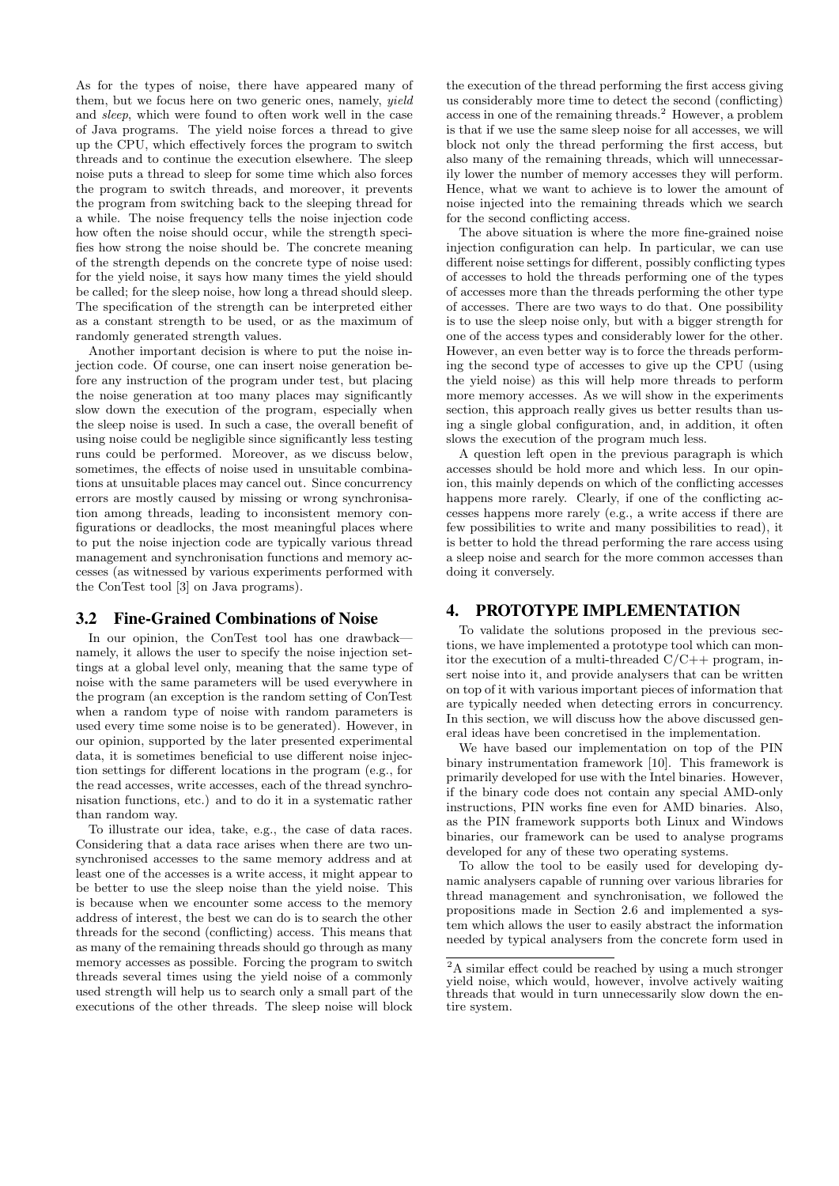As for the types of noise, there have appeared many of them, but we focus here on two generic ones, namely, yield and sleep, which were found to often work well in the case of Java programs. The yield noise forces a thread to give up the CPU, which effectively forces the program to switch threads and to continue the execution elsewhere. The sleep noise puts a thread to sleep for some time which also forces the program to switch threads, and moreover, it prevents the program from switching back to the sleeping thread for a while. The noise frequency tells the noise injection code how often the noise should occur, while the strength specifies how strong the noise should be. The concrete meaning of the strength depends on the concrete type of noise used: for the yield noise, it says how many times the yield should be called; for the sleep noise, how long a thread should sleep. The specification of the strength can be interpreted either as a constant strength to be used, or as the maximum of randomly generated strength values.

Another important decision is where to put the noise injection code. Of course, one can insert noise generation before any instruction of the program under test, but placing the noise generation at too many places may significantly slow down the execution of the program, especially when the sleep noise is used. In such a case, the overall benefit of using noise could be negligible since significantly less testing runs could be performed. Moreover, as we discuss below, sometimes, the effects of noise used in unsuitable combinations at unsuitable places may cancel out. Since concurrency errors are mostly caused by missing or wrong synchronisation among threads, leading to inconsistent memory configurations or deadlocks, the most meaningful places where to put the noise injection code are typically various thread management and synchronisation functions and memory accesses (as witnessed by various experiments performed with the ConTest tool [3] on Java programs).

#### 3.2 Fine-Grained Combinations of Noise

In our opinion, the ConTest tool has one drawback namely, it allows the user to specify the noise injection settings at a global level only, meaning that the same type of noise with the same parameters will be used everywhere in the program (an exception is the random setting of ConTest when a random type of noise with random parameters is used every time some noise is to be generated). However, in our opinion, supported by the later presented experimental data, it is sometimes beneficial to use different noise injection settings for different locations in the program (e.g., for the read accesses, write accesses, each of the thread synchronisation functions, etc.) and to do it in a systematic rather than random way.

To illustrate our idea, take, e.g., the case of data races. Considering that a data race arises when there are two unsynchronised accesses to the same memory address and at least one of the accesses is a write access, it might appear to be better to use the sleep noise than the yield noise. This is because when we encounter some access to the memory address of interest, the best we can do is to search the other threads for the second (conflicting) access. This means that as many of the remaining threads should go through as many memory accesses as possible. Forcing the program to switch threads several times using the yield noise of a commonly used strength will help us to search only a small part of the executions of the other threads. The sleep noise will block

the execution of the thread performing the first access giving us considerably more time to detect the second (conflicting) access in one of the remaining threads.<sup>2</sup> However, a problem is that if we use the same sleep noise for all accesses, we will block not only the thread performing the first access, but also many of the remaining threads, which will unnecessarily lower the number of memory accesses they will perform. Hence, what we want to achieve is to lower the amount of noise injected into the remaining threads which we search for the second conflicting access.

The above situation is where the more fine-grained noise injection configuration can help. In particular, we can use different noise settings for different, possibly conflicting types of accesses to hold the threads performing one of the types of accesses more than the threads performing the other type of accesses. There are two ways to do that. One possibility is to use the sleep noise only, but with a bigger strength for one of the access types and considerably lower for the other. However, an even better way is to force the threads performing the second type of accesses to give up the CPU (using the yield noise) as this will help more threads to perform more memory accesses. As we will show in the experiments section, this approach really gives us better results than using a single global configuration, and, in addition, it often slows the execution of the program much less.

A question left open in the previous paragraph is which accesses should be hold more and which less. In our opinion, this mainly depends on which of the conflicting accesses happens more rarely. Clearly, if one of the conflicting accesses happens more rarely (e.g., a write access if there are few possibilities to write and many possibilities to read), it is better to hold the thread performing the rare access using a sleep noise and search for the more common accesses than doing it conversely.

## 4. PROTOTYPE IMPLEMENTATION

To validate the solutions proposed in the previous sections, we have implemented a prototype tool which can monitor the execution of a multi-threaded  $C/C++$  program, insert noise into it, and provide analysers that can be written on top of it with various important pieces of information that are typically needed when detecting errors in concurrency. In this section, we will discuss how the above discussed general ideas have been concretised in the implementation.

We have based our implementation on top of the PIN binary instrumentation framework [10]. This framework is primarily developed for use with the Intel binaries. However, if the binary code does not contain any special AMD-only instructions, PIN works fine even for AMD binaries. Also, as the PIN framework supports both Linux and Windows binaries, our framework can be used to analyse programs developed for any of these two operating systems.

To allow the tool to be easily used for developing dynamic analysers capable of running over various libraries for thread management and synchronisation, we followed the propositions made in Section 2.6 and implemented a system which allows the user to easily abstract the information needed by typical analysers from the concrete form used in

 $\overline{{}^2\text{A}}$  similar effect could be reached by using a much stronger yield noise, which would, however, involve actively waiting threads that would in turn unnecessarily slow down the entire system.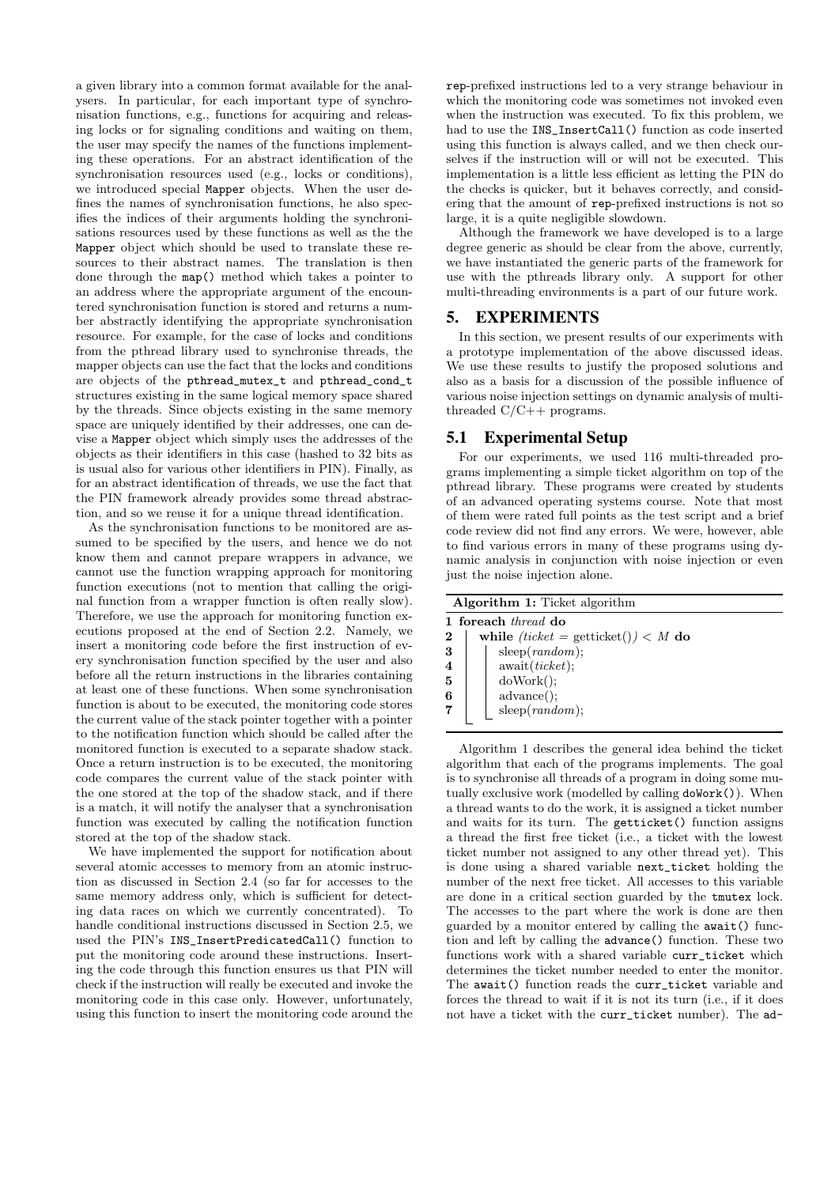a given library into a common format available for the analysers. In particular, for each important type of synchronisation functions, e.g., functions for acquiring and releasing locks or for signaling conditions and waiting on them, the user may specify the names of the functions implementing these operations. For an abstract identification of the synchronisation resources used (e.g., locks or conditions), we introduced special Mapper objects. When the user defines the names of synchronisation functions, he also specifies the indices of their arguments holding the synchronisations resources used by these functions as well as the the Mapper object which should be used to translate these resources to their abstract names. The translation is then done through the map() method which takes a pointer to an address where the appropriate argument of the encountered synchronisation function is stored and returns a number abstractly identifying the appropriate synchronisation resource. For example, for the case of locks and conditions from the pthread library used to synchronise threads, the mapper objects can use the fact that the locks and conditions are objects of the pthread\_mutex\_t and pthread\_cond\_t structures existing in the same logical memory space shared by the threads. Since objects existing in the same memory space are uniquely identified by their addresses, one can devise a Mapper object which simply uses the addresses of the objects as their identifiers in this case (hashed to 32 bits as is usual also for various other identifiers in PIN). Finally, as for an abstract identification of threads, we use the fact that the PIN framework already provides some thread abstraction, and so we reuse it for a unique thread identification.

As the synchronisation functions to be monitored are assumed to be specified by the users, and hence we do not know them and cannot prepare wrappers in advance, we cannot use the function wrapping approach for monitoring function executions (not to mention that calling the original function from a wrapper function is often really slow). Therefore, we use the approach for monitoring function executions proposed at the end of Section 2.2. Namely, we insert a monitoring code before the first instruction of every synchronisation function specified by the user and also before all the return instructions in the libraries containing at least one of these functions. When some synchronisation function is about to be executed, the monitoring code stores the current value of the stack pointer together with a pointer to the notification function which should be called after the monitored function is executed to a separate shadow stack. Once a return instruction is to be executed, the monitoring code compares the current value of the stack pointer with the one stored at the top of the shadow stack, and if there is a match, it will notify the analyser that a synchronisation function was executed by calling the notification function stored at the top of the shadow stack.

We have implemented the support for notification about several atomic accesses to memory from an atomic instruction as discussed in Section 2.4 (so far for accesses to the same memory address only, which is sufficient for detecting data races on which we currently concentrated). To handle conditional instructions discussed in Section 2.5, we used the PIN's INS\_InsertPredicatedCall() function to put the monitoring code around these instructions. Inserting the code through this function ensures us that PIN will check if the instruction will really be executed and invoke the monitoring code in this case only. However, unfortunately, using this function to insert the monitoring code around the rep-prefixed instructions led to a very strange behaviour in which the monitoring code was sometimes not invoked even when the instruction was executed. To fix this problem, we had to use the INS\_InsertCall() function as code inserted using this function is always called, and we then check ourselves if the instruction will or will not be executed. This implementation is a little less efficient as letting the PIN do the checks is quicker, but it behaves correctly, and considering that the amount of rep-prefixed instructions is not so large, it is a quite negligible slowdown.

Although the framework we have developed is to a large degree generic as should be clear from the above, currently, we have instantiated the generic parts of the framework for use with the pthreads library only. A support for other multi-threading environments is a part of our future work.

#### 5. EXPERIMENTS

In this section, we present results of our experiments with a prototype implementation of the above discussed ideas. We use these results to justify the proposed solutions and also as a basis for a discussion of the possible influence of various noise injection settings on dynamic analysis of multithreaded C/C++ programs.

#### 5.1 Experimental Setup

For our experiments, we used 116 multi-threaded programs implementing a simple ticket algorithm on top of the pthread library. These programs were created by students of an advanced operating systems course. Note that most of them were rated full points as the test script and a brief code review did not find any errors. We were, however, able to find various errors in many of these programs using dynamic analysis in conjunction with noise injection or even just the noise injection alone.

|          | <b>Algorithm 1:</b> Ticket algorithm   |  |  |  |  |  |  |  |
|----------|----------------------------------------|--|--|--|--|--|--|--|
|          | 1 foreach <i>thread</i> do             |  |  |  |  |  |  |  |
| $\bf{2}$ | while $(ticket = get ticket()) < M$ do |  |  |  |  |  |  |  |
| 3        | sleep(random);                         |  |  |  |  |  |  |  |
| 4        | await(ticket);                         |  |  |  |  |  |  |  |
| 5        | doWork();                              |  |  |  |  |  |  |  |
| 6        | $advance$ :                            |  |  |  |  |  |  |  |
|          | sleep(random);                         |  |  |  |  |  |  |  |
|          |                                        |  |  |  |  |  |  |  |

Algorithm 1 describes the general idea behind the ticket algorithm that each of the programs implements. The goal is to synchronise all threads of a program in doing some mutually exclusive work (modelled by calling  $d\text{oW}$ rk()). When a thread wants to do the work, it is assigned a ticket number and waits for its turn. The getticket() function assigns a thread the first free ticket (i.e., a ticket with the lowest ticket number not assigned to any other thread yet). This is done using a shared variable next\_ticket holding the number of the next free ticket. All accesses to this variable are done in a critical section guarded by the tmutex lock. The accesses to the part where the work is done are then guarded by a monitor entered by calling the await() function and left by calling the advance() function. These two functions work with a shared variable curr\_ticket which determines the ticket number needed to enter the monitor. The await() function reads the curr ticket variable and forces the thread to wait if it is not its turn (i.e., if it does not have a ticket with the curr\_ticket number). The ad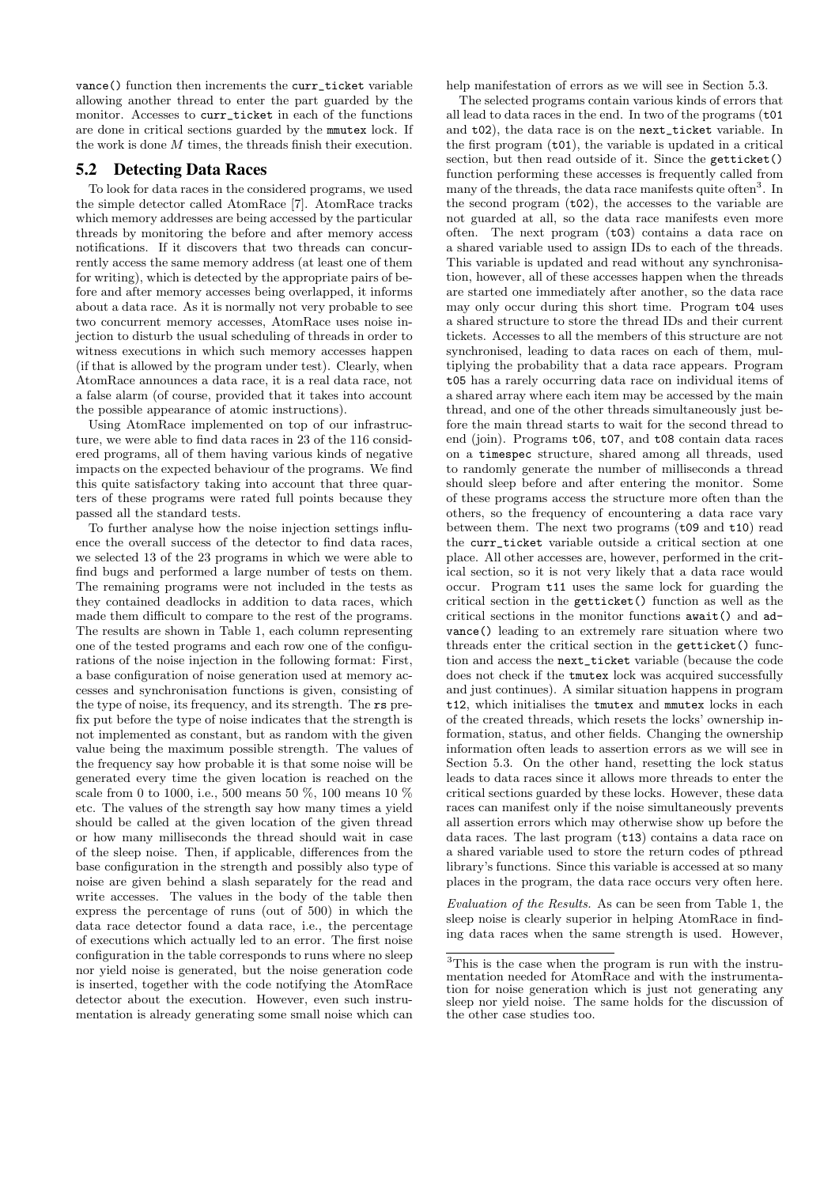vance() function then increments the curr\_ticket variable allowing another thread to enter the part guarded by the monitor. Accesses to curr\_ticket in each of the functions are done in critical sections guarded by the mmutex lock. If the work is done M times, the threads finish their execution.

#### 5.2 Detecting Data Races

To look for data races in the considered programs, we used the simple detector called AtomRace [7]. AtomRace tracks which memory addresses are being accessed by the particular threads by monitoring the before and after memory access notifications. If it discovers that two threads can concurrently access the same memory address (at least one of them for writing), which is detected by the appropriate pairs of before and after memory accesses being overlapped, it informs about a data race. As it is normally not very probable to see two concurrent memory accesses, AtomRace uses noise injection to disturb the usual scheduling of threads in order to witness executions in which such memory accesses happen (if that is allowed by the program under test). Clearly, when AtomRace announces a data race, it is a real data race, not a false alarm (of course, provided that it takes into account the possible appearance of atomic instructions).

Using AtomRace implemented on top of our infrastructure, we were able to find data races in 23 of the 116 considered programs, all of them having various kinds of negative impacts on the expected behaviour of the programs. We find this quite satisfactory taking into account that three quarters of these programs were rated full points because they passed all the standard tests.

To further analyse how the noise injection settings influence the overall success of the detector to find data races, we selected 13 of the 23 programs in which we were able to find bugs and performed a large number of tests on them. The remaining programs were not included in the tests as they contained deadlocks in addition to data races, which made them difficult to compare to the rest of the programs. The results are shown in Table 1, each column representing one of the tested programs and each row one of the configurations of the noise injection in the following format: First, a base configuration of noise generation used at memory accesses and synchronisation functions is given, consisting of the type of noise, its frequency, and its strength. The rs prefix put before the type of noise indicates that the strength is not implemented as constant, but as random with the given value being the maximum possible strength. The values of the frequency say how probable it is that some noise will be generated every time the given location is reached on the scale from 0 to 1000, i.e., 500 means 50 %, 100 means 10 % etc. The values of the strength say how many times a yield should be called at the given location of the given thread or how many milliseconds the thread should wait in case of the sleep noise. Then, if applicable, differences from the base configuration in the strength and possibly also type of noise are given behind a slash separately for the read and write accesses. The values in the body of the table then express the percentage of runs (out of 500) in which the data race detector found a data race, i.e., the percentage of executions which actually led to an error. The first noise configuration in the table corresponds to runs where no sleep nor yield noise is generated, but the noise generation code is inserted, together with the code notifying the AtomRace detector about the execution. However, even such instrumentation is already generating some small noise which can

help manifestation of errors as we will see in Section 5.3.

The selected programs contain various kinds of errors that all lead to data races in the end. In two of the programs (t01 and t02), the data race is on the next\_ticket variable. In the first program (t01), the variable is updated in a critical section, but then read outside of it. Since the getticket() function performing these accesses is frequently called from many of the threads, the data race manifests quite often<sup>3</sup>. In the second program (t02), the accesses to the variable are not guarded at all, so the data race manifests even more often. The next program (t03) contains a data race on a shared variable used to assign IDs to each of the threads. This variable is updated and read without any synchronisation, however, all of these accesses happen when the threads are started one immediately after another, so the data race may only occur during this short time. Program t04 uses a shared structure to store the thread IDs and their current tickets. Accesses to all the members of this structure are not synchronised, leading to data races on each of them, multiplying the probability that a data race appears. Program t05 has a rarely occurring data race on individual items of a shared array where each item may be accessed by the main thread, and one of the other threads simultaneously just before the main thread starts to wait for the second thread to end (join). Programs t06, t07, and t08 contain data races on a timespec structure, shared among all threads, used to randomly generate the number of milliseconds a thread should sleep before and after entering the monitor. Some of these programs access the structure more often than the others, so the frequency of encountering a data race vary between them. The next two programs (t09 and t10) read the curr\_ticket variable outside a critical section at one place. All other accesses are, however, performed in the critical section, so it is not very likely that a data race would occur. Program t11 uses the same lock for guarding the critical section in the getticket() function as well as the critical sections in the monitor functions await() and advance() leading to an extremely rare situation where two threads enter the critical section in the getticket() function and access the next\_ticket variable (because the code does not check if the tmutex lock was acquired successfully and just continues). A similar situation happens in program t12, which initialises the tmutex and mmutex locks in each of the created threads, which resets the locks' ownership information, status, and other fields. Changing the ownership information often leads to assertion errors as we will see in Section 5.3. On the other hand, resetting the lock status leads to data races since it allows more threads to enter the critical sections guarded by these locks. However, these data races can manifest only if the noise simultaneously prevents all assertion errors which may otherwise show up before the data races. The last program (t13) contains a data race on a shared variable used to store the return codes of pthread library's functions. Since this variable is accessed at so many places in the program, the data race occurs very often here.

Evaluation of the Results. As can be seen from Table 1, the sleep noise is clearly superior in helping AtomRace in finding data races when the same strength is used. However,

 $\overline{{}^3}$ This is the case when the program is run with the instrumentation needed for AtomRace and with the instrumentation for noise generation which is just not generating any sleep nor yield noise. The same holds for the discussion of the other case studies too.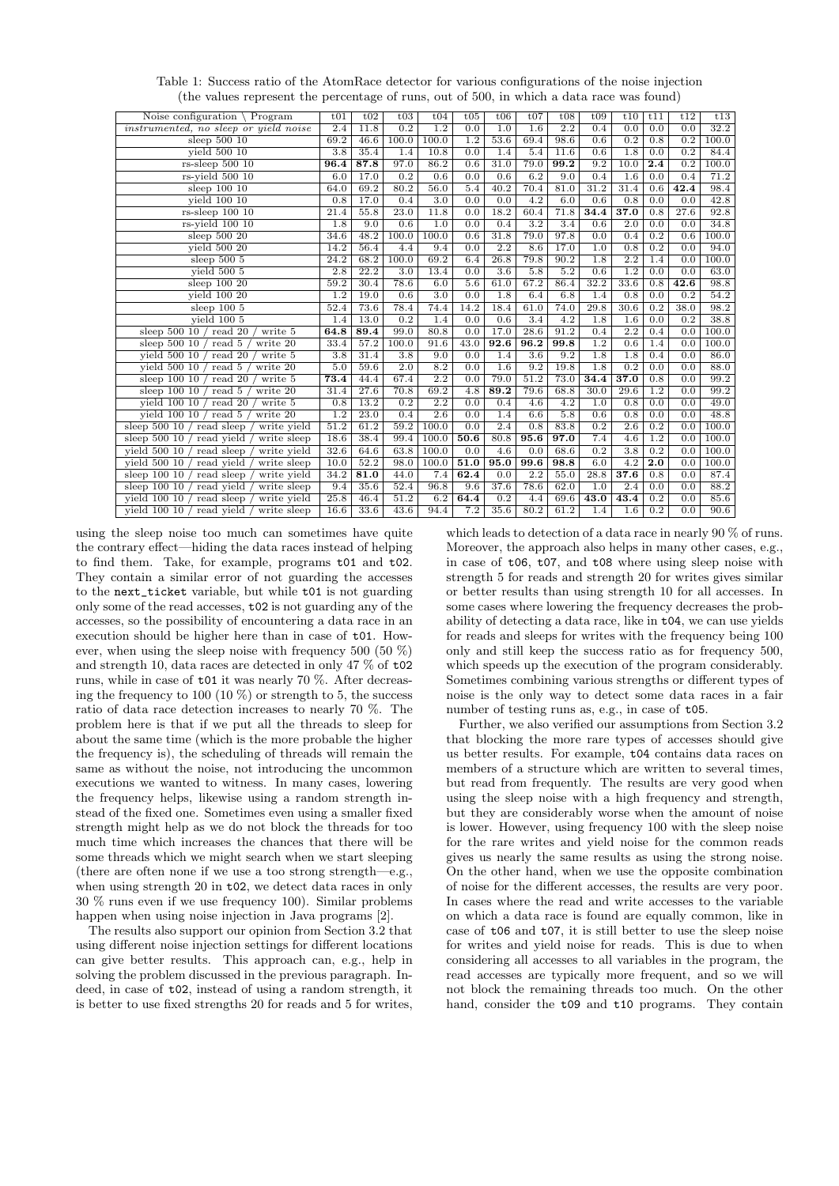| Noise configuration $\setminus$<br>Program  |             | t02  | t03   | t04   | t05              | t06              | t07              | t08  | t09              | t10              | t11              | t12  | t13               |
|---------------------------------------------|-------------|------|-------|-------|------------------|------------------|------------------|------|------------------|------------------|------------------|------|-------------------|
| instrumented, no sleep or yield noise       |             | 11.8 | 0.2   | 1.2   | 0.0              | 1.0              | $1.\overline{6}$ | 2.2  | 0.4              | 0.0              | 0.0              | 0.0  | 32.2              |
| sleep $50010$                               |             | 46.6 | 100.0 | 100.0 | $\overline{1.2}$ | 53.6             | 69.4             | 98.6 | 0.6              | 0.2              | 0.8              | 0.2  | 100.0             |
| vield 500 10                                | 3.8         | 35.4 | 1.4   | 10.8  | 0.0              | 1.4              | 5.4              | 11.6 | $0.\overline{6}$ | 1.8              | 0.0              | 0.2  | 84.4              |
| $rs-sleep 500 10$                           | 96.4        | 87.8 | 97.0  | 86.2  | 0.6              | 31.0             | 79.0             | 99.2 | 9.2              | 10.0             | 2.4              | 0.2  | 100.0             |
| $rs$ -vield $500$ $10$                      | 6.0         | 17.0 | 0.2   | 0.6   | 0.0              | 0.6              | 6.2              | 9.0  | 0.4              | 1.6              | 0.0              | 0.4  | 71.2              |
| sleep $10010$                               | 64.0        | 69.2 | 80.2  | 56.0  | 5.4              | 40.2             | 70.4             | 81.0 | 31.2             | 31.4             | $0.\overline{6}$ | 42.4 | 98.4              |
| vield 100 10                                | 0.8         | 17.0 | 0.4   | 3.0   | 0.0              | 0.0              | 4.2              | 6.0  | 0.6              | 0.8              | 0.0              | 0.0  | 42.8              |
| $rs\text{-sleep }10010$                     | 21.4        | 55.8 | 23.0  | 11.8  | 0.0              | 18.2             | 60.4             | 71.8 | 34.4             | 37.0             | 0.8              | 27.6 | 92.8              |
| $rs$ -vield $10010$                         | 1.8         | 9.0  | 0.6   | 1.0   | 0.0              | 0.4              | 3.2              | 3.4  | 0.6              | 2.0              | 0.0              | 0.0  | 34.8              |
| sleep 500 20                                | 34.6        | 48.2 | 100.0 | 100.0 | 0.6              | 31.8             | 79.0             | 97.8 | 0.0              | 0.4              | 0.2              | 0.6  | 100.0             |
| vield 500 20                                | 14.2        | 56.4 | 4.4   | 9.4   | 0.0              | 2.2              | 8.6              | 17.0 | 1.0              | 0.8              | 0.2              | 0.0  | 94.0              |
| sleep $500\,5$                              | 24.2        | 68.2 | 100.0 | 69.2  | 6.4              | 26.8             | 79.8             | 90.2 | 1.8              | 2.2              | 1.4              | 0.0  | 100.0             |
| vield 500 5                                 | 2.8         | 22.2 | 3.0   | 13.4  | 0.0              | 3.6              | 5.8              | 5.2  | 0.6              | 1.2              | 0.0              | 0.0  | 63.0              |
| sleep $10020$                               | 59.2        | 30.4 | 78.6  | 6.0   | 5.6              | 61.0             | 67.2             | 86.4 | 32.2             | 33.6             | 0.8              | 42.6 | 98.8              |
| vield 100 20                                | 1.2         | 19.0 | 0.6   | 3.0   | 0.0              | 1.8              | 6.4              | 6.8  | 1.4              | 0.8              | 0.0              | 0.2  | 54.2              |
| sleep $1005$                                |             | 73.6 | 78.4  | 74.4  | 14.2             | 18.4             | 61.0             | 74.0 | 29.8             | 30.6             | $\overline{0.2}$ | 38.0 | 98.2              |
| $vield$ 100 $5$                             | 1.4         | 13.0 | 0.2   | 1.4   | 0.0              | 0.6              | 3.4              | 4.2  | 1.8              | 1.6              | 0.0              | 0.2  | 38.8              |
| read 20<br>sleep $50010$<br>write 5         | 64.8        | 89.4 | 99.0  | 80.8  | 0.0              | 17.0             | 28.6             | 91.2 | 0.4              | $\overline{2.2}$ | 0.4              | 0.0  | 100.0             |
| write 20<br>sleep $50010$<br>read 5         | 33.4        | 57.2 | 100.0 | 91.6  | 43.0             | 92.6             | 96.2             | 99.8 | 1.2              | 0.6              | $1.\overline{4}$ | 0.0  | 100.0             |
| vield 500 10<br>read 20<br>write 5          | 3.8         | 31.4 | 3.8   | 9.0   | 0.0              | 1.4              | 3.6              | 9.2  | 1.8              | 1.8              | 0.4              | 0.0  | 86.0              |
| vield 500 10<br>read 5<br>write 20          | 5.0         | 59.6 | 2.0   | 8.2   | 0.0              | $\overline{1.6}$ | 9.2              | 19.8 | $\overline{1.8}$ | $\overline{0.2}$ | 0.0              | 0.0  | 88.0              |
| sleep $10010$<br>read 20<br>write 5         | 73.4        | 44.4 | 67.4  | 2.2   | 0.0              | 79.0             | 51.2             | 73.0 | 34.4             | 37.0             | 0.8              | 0.0  | 99.2              |
| sleep $10010$<br>read 5<br>write 20         | 31.4        | 27.6 | 70.8  | 69.2  | 4.8              | 89.2             | 79.6             | 68.8 | 30.0             | 29.6             | 1.2              | 0.0  | 99.2              |
| vield $10010$<br>real 20<br>write 5         | 0.8         | 13.2 | 0.2   | 2.2   | 0.0              | 0.4              | $\overline{4.6}$ | 4.2  | 1.0              | 0.8              | 0.0              | 0.0  | 49.0              |
| vield 100 10<br>write 20<br>read 5          | 1.2         | 23.0 | 0.4   | 2.6   | 0.0              | 1.4              | 6.6              | 5.8  | 0.6              | 0.8              | 0.0              | 0.0  | 48.8              |
| sleep $50010$<br>write yield<br>read sleep  | 51.2        | 61.2 | 59.2  | 100.0 | 0.0              | 2.4              | 0.8              | 83.8 | $\overline{0.2}$ | $\overline{2.6}$ | $\overline{0.2}$ | 0.0  | 100.0             |
| sleep $50010$<br>read vield<br>write sleep  | 18.6        | 38.4 | 99.4  | 100.0 | 50.6             | 80.8             | 95.6             | 97.0 | 7.4              | 4.6              | 1.2              | 0.0  | 100.0             |
| vield 500 10<br>read sleep<br>write vield   | 32.6        | 64.6 | 63.8  | 100.0 | 0.0              | 4.6              | 0.0              | 68.6 | 0.2              | 3.8              | 0.2              | 0.0  | 100.0             |
| vield 500 10<br>write sleep<br>read vield   | 10.0        | 52.2 | 98.0  | 100.0 | 51.0             | 95.0             | 99.6             | 98.8 | 6.0              | 4.2              | $\overline{2.0}$ | 0.0  | 100.0             |
| sleep $10010$<br>write vield<br>read sleep  | 34.2        | 81.0 | 44.0  | 7.4   | 62.4             | 0.0              | 2.2              | 55.0 | 28.8             | 37.6             | 0.8              | 0.0  | $\overline{87.4}$ |
| sleep $10010$<br>write sleep<br>read yield  | 9.4<br>25.8 | 35.6 | 52.4  | 96.8  | 9.6              | 37.6             | 78.6             | 62.0 | 1.0              | 2.4              | 0.0              | 0.0  | 88.2              |
| vield 100 10<br>read sleep<br>write vield   |             | 46.4 | 51.2  | 6.2   | 64.4             | 0.2              | 4.4              | 69.6 | 43.0             | 43.4             | 0.2              | 0.0  | 85.6              |
| $vield$ 100 10<br>read yield<br>write sleep | 16.6        | 33.6 | 43.6  | 94.4  | 7.2              | 35.6             | 80.2             | 61.2 | 1.4              | 1.6              | 0.2              | 0.0  | 90.6              |

Table 1: Success ratio of the AtomRace detector for various configurations of the noise injection (the values represent the percentage of runs, out of 500, in which a data race was found)

using the sleep noise too much can sometimes have quite the contrary effect—hiding the data races instead of helping to find them. Take, for example, programs t01 and t02. They contain a similar error of not guarding the accesses to the next\_ticket variable, but while t01 is not guarding only some of the read accesses, t02 is not guarding any of the accesses, so the possibility of encountering a data race in an execution should be higher here than in case of t01. However, when using the sleep noise with frequency 500 (50 %) and strength 10, data races are detected in only 47 % of t02 runs, while in case of t01 it was nearly 70 %. After decreasing the frequency to 100 (10  $\%$ ) or strength to 5, the success ratio of data race detection increases to nearly 70 %. The problem here is that if we put all the threads to sleep for about the same time (which is the more probable the higher the frequency is), the scheduling of threads will remain the same as without the noise, not introducing the uncommon executions we wanted to witness. In many cases, lowering the frequency helps, likewise using a random strength instead of the fixed one. Sometimes even using a smaller fixed strength might help as we do not block the threads for too much time which increases the chances that there will be some threads which we might search when we start sleeping (there are often none if we use a too strong strength—e.g., when using strength 20 in t02, we detect data races in only 30 % runs even if we use frequency 100). Similar problems happen when using noise injection in Java programs [2].

The results also support our opinion from Section 3.2 that using different noise injection settings for different locations can give better results. This approach can, e.g., help in solving the problem discussed in the previous paragraph. Indeed, in case of t02, instead of using a random strength, it is better to use fixed strengths 20 for reads and 5 for writes,

which leads to detection of a data race in nearly 90 % of runs. Moreover, the approach also helps in many other cases, e.g., in case of t06, t07, and t08 where using sleep noise with strength 5 for reads and strength 20 for writes gives similar or better results than using strength 10 for all accesses. In some cases where lowering the frequency decreases the probability of detecting a data race, like in t04, we can use yields for reads and sleeps for writes with the frequency being 100 only and still keep the success ratio as for frequency 500, which speeds up the execution of the program considerably. Sometimes combining various strengths or different types of noise is the only way to detect some data races in a fair number of testing runs as, e.g., in case of t05.

Further, we also verified our assumptions from Section 3.2 that blocking the more rare types of accesses should give us better results. For example, t04 contains data races on members of a structure which are written to several times, but read from frequently. The results are very good when using the sleep noise with a high frequency and strength, but they are considerably worse when the amount of noise is lower. However, using frequency 100 with the sleep noise for the rare writes and yield noise for the common reads gives us nearly the same results as using the strong noise. On the other hand, when we use the opposite combination of noise for the different accesses, the results are very poor. In cases where the read and write accesses to the variable on which a data race is found are equally common, like in case of t06 and t07, it is still better to use the sleep noise for writes and yield noise for reads. This is due to when considering all accesses to all variables in the program, the read accesses are typically more frequent, and so we will not block the remaining threads too much. On the other hand, consider the t09 and t10 programs. They contain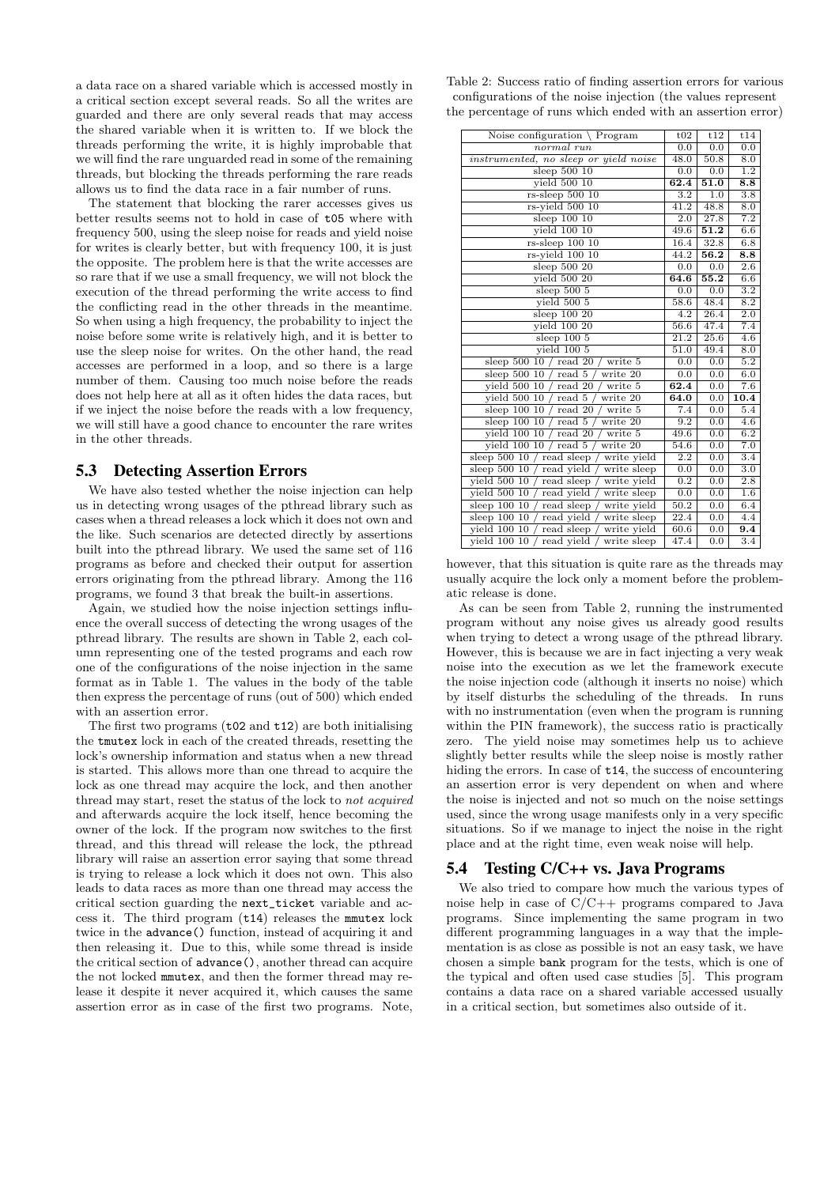a data race on a shared variable which is accessed mostly in a critical section except several reads. So all the writes are guarded and there are only several reads that may access the shared variable when it is written to. If we block the threads performing the write, it is highly improbable that we will find the rare unguarded read in some of the remaining threads, but blocking the threads performing the rare reads allows us to find the data race in a fair number of runs.

The statement that blocking the rarer accesses gives us better results seems not to hold in case of t05 where with frequency 500, using the sleep noise for reads and yield noise for writes is clearly better, but with frequency 100, it is just the opposite. The problem here is that the write accesses are so rare that if we use a small frequency, we will not block the execution of the thread performing the write access to find the conflicting read in the other threads in the meantime. So when using a high frequency, the probability to inject the noise before some write is relatively high, and it is better to use the sleep noise for writes. On the other hand, the read accesses are performed in a loop, and so there is a large number of them. Causing too much noise before the reads does not help here at all as it often hides the data races, but if we inject the noise before the reads with a low frequency, we will still have a good chance to encounter the rare writes in the other threads.

## 5.3 Detecting Assertion Errors

We have also tested whether the noise injection can help us in detecting wrong usages of the pthread library such as cases when a thread releases a lock which it does not own and the like. Such scenarios are detected directly by assertions built into the pthread library. We used the same set of 116 programs as before and checked their output for assertion errors originating from the pthread library. Among the 116 programs, we found 3 that break the built-in assertions.

Again, we studied how the noise injection settings influence the overall success of detecting the wrong usages of the pthread library. The results are shown in Table 2, each column representing one of the tested programs and each row one of the configurations of the noise injection in the same format as in Table 1. The values in the body of the table then express the percentage of runs (out of 500) which ended with an assertion error.

The first two programs (t02 and t12) are both initialising the tmutex lock in each of the created threads, resetting the lock's ownership information and status when a new thread is started. This allows more than one thread to acquire the lock as one thread may acquire the lock, and then another thread may start, reset the status of the lock to not acquired and afterwards acquire the lock itself, hence becoming the owner of the lock. If the program now switches to the first thread, and this thread will release the lock, the pthread library will raise an assertion error saying that some thread is trying to release a lock which it does not own. This also leads to data races as more than one thread may access the critical section guarding the next\_ticket variable and access it. The third program (t14) releases the mmutex lock twice in the advance() function, instead of acquiring it and then releasing it. Due to this, while some thread is inside the critical section of advance(), another thread can acquire the not locked mmutex, and then the former thread may release it despite it never acquired it, which causes the same assertion error as in case of the first two programs. Note,

Table 2: Success ratio of finding assertion errors for various configurations of the noise injection (the values represent the percentage of runs which ended with an assertion error)

| Noise configuration<br>Program                            | t02               | t12               | t14              |
|-----------------------------------------------------------|-------------------|-------------------|------------------|
| normal run                                                | 0.0               | 0.0               | 0.0              |
| instrumented, no sleep or yield noise                     | 48.0              | 50.8              | 8.0              |
| sleep $50010$                                             | 0.0               | 0.0               | 1.2              |
| $vield$ 500 10                                            | 62.4              | $\overline{51.0}$ | 8.8              |
| $rs\text{-sleep }50010$                                   | $\overline{3.2}$  | 1.0               | $\overline{3.8}$ |
| $rs$ -vield $50010$                                       | 41.2              | 48.8              | 8.0              |
| sleep $10010$                                             | $\overline{2.0}$  | $\overline{27.8}$ | 7.2              |
| vield 100 10                                              | 49.6              | 51.2              | 6.6              |
| $rs\text{-sleep }10010$                                   | 16.4              | 32.8              | 6.8              |
| $rs$ -yield $10010$                                       | 44.2              | $\overline{56.2}$ | $\overline{8.8}$ |
| sleep 500 20                                              | 0.0               | 0.0               | 2.6              |
| vield 500 20                                              | 64.6              | 55.2              | 6.6              |
| sleep $5005$                                              | 0.0               | 0.0               | 3.2              |
| yield $500\,5$                                            | 58.6              | 48.4              | 8.2              |
| sleep $10020$                                             | $\overline{4.2}$  | 26.4              | 2.0              |
| yield $10020$                                             | 56.6              | 47.4              | 7.4              |
| $s$ leep $1005$                                           | $\overline{21.2}$ | 25.6              | 4.6              |
| yield $1005$                                              | 51.0              | 49.4              | 8.0              |
| sleep $500\overline{10}$<br>read 20<br>write 5            | 0.0               | 0.0               | 5.2              |
| $real\overline{5}$<br>sleep $50010$<br>$w$ rite $20$      | 0.0               | 0.0               | 6.0              |
| vield 500<br>read 20<br>$\overline{\text{write}}$ 5<br>10 | $\overline{62}.4$ | 0.0               | $\overline{7.6}$ |
| vield 500<br>$w$ rite $20$<br>read 5<br>10                | 64.0              | 0.0               | 10.4             |
| sleep $100$<br>real 20<br>write 5<br>10                   | 7.4               | 0.0               | 5.4              |
| sleep $10010$<br>read 5<br>write 20                       | 9.2               | 0.0               | 4.6              |
| $yield$ 100<br>real 20<br>write 5<br>10                   | 49.6              | 0.0               | 6.2              |
| vield 100<br>read 5<br>write 20<br>10                     | 54.6              | 0.0               | 7.0              |
| $s$ leep $50010$<br>read sleep<br>write yield             | $\overline{2.2}$  | 0.0               | 3.4              |
| write sleep<br>sleep $50010$<br>read vield                | 0.0               | 0.0               | 3.0              |
| vield 500 10<br>read sleep<br>write yield                 | 0.2               | 0.0               | $\overline{2.8}$ |
| vield 500 10<br>write sleep<br>read yield                 | 0.0               | 0.0               | 1.6              |
| read sleep<br>sleep $10010$<br>write yield                | 50.2              | 0.0               | 6.4              |
| sleep $10010$<br>read yield<br>write sleep                | $\overline{22.4}$ | 0.0               | 4.4              |
| yield 100 10<br>read sleep<br>write yield                 | 60.6              | 0.0               | 9.4              |
| vield 100 10<br>read yield<br>write sleep                 | $\overline{47.4}$ | 0.0               | 3.4              |
|                                                           |                   |                   |                  |

however, that this situation is quite rare as the threads may usually acquire the lock only a moment before the problematic release is done.

As can be seen from Table 2, running the instrumented program without any noise gives us already good results when trying to detect a wrong usage of the pthread library. However, this is because we are in fact injecting a very weak noise into the execution as we let the framework execute the noise injection code (although it inserts no noise) which by itself disturbs the scheduling of the threads. In runs with no instrumentation (even when the program is running within the PIN framework), the success ratio is practically zero. The yield noise may sometimes help us to achieve slightly better results while the sleep noise is mostly rather hiding the errors. In case of  $t14$ , the success of encountering an assertion error is very dependent on when and where the noise is injected and not so much on the noise settings used, since the wrong usage manifests only in a very specific situations. So if we manage to inject the noise in the right place and at the right time, even weak noise will help.

#### 5.4 Testing C/C++ vs. Java Programs

We also tried to compare how much the various types of noise help in case of C/C++ programs compared to Java programs. Since implementing the same program in two different programming languages in a way that the implementation is as close as possible is not an easy task, we have chosen a simple bank program for the tests, which is one of the typical and often used case studies [5]. This program contains a data race on a shared variable accessed usually in a critical section, but sometimes also outside of it.